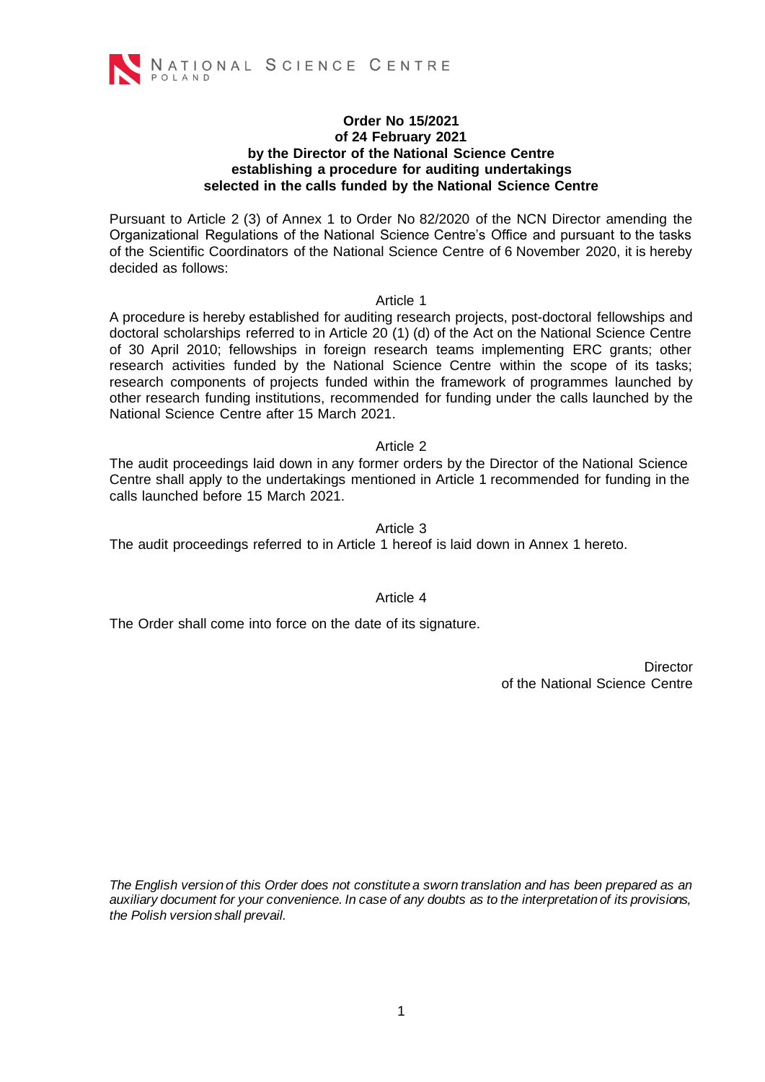

#### **Order No 15/2021 of 24 February 2021 by the Director of the National Science Centre establishing a procedure for auditing undertakings selected in the calls funded by the National Science Centre**

Pursuant to Article 2 (3) of Annex 1 to Order No 82/2020 of the NCN Director amending the Organizational Regulations of the National Science Centre's Office and pursuant to the tasks of the Scientific Coordinators of the National Science Centre of 6 November 2020, it is hereby decided as follows:

#### Article 1

A procedure is hereby established for auditing research projects, post-doctoral fellowships and doctoral scholarships referred to in Article 20 (1) (d) of the Act on the National Science Centre of 30 April 2010; fellowships in foreign research teams implementing ERC grants; other research activities funded by the National Science Centre within the scope of its tasks; research components of projects funded within the framework of programmes launched by other research funding institutions, recommended for funding under the calls launched by the National Science Centre after 15 March 2021.

#### Article 2

The audit proceedings laid down in any former orders by the Director of the National Science Centre shall apply to the undertakings mentioned in Article 1 recommended for funding in the calls launched before 15 March 2021.

#### Article 3

The audit proceedings referred to in Article 1 hereof is laid down in Annex 1 hereto.

#### Article 4

The Order shall come into force on the date of its signature.

**Director** of the National Science Centre

*The English version of this Order does not constitute a sworn translation and has been prepared as an auxiliary document for your convenience. In case of any doubts as to the interpretation of its provisions, the Polish version shall prevail.*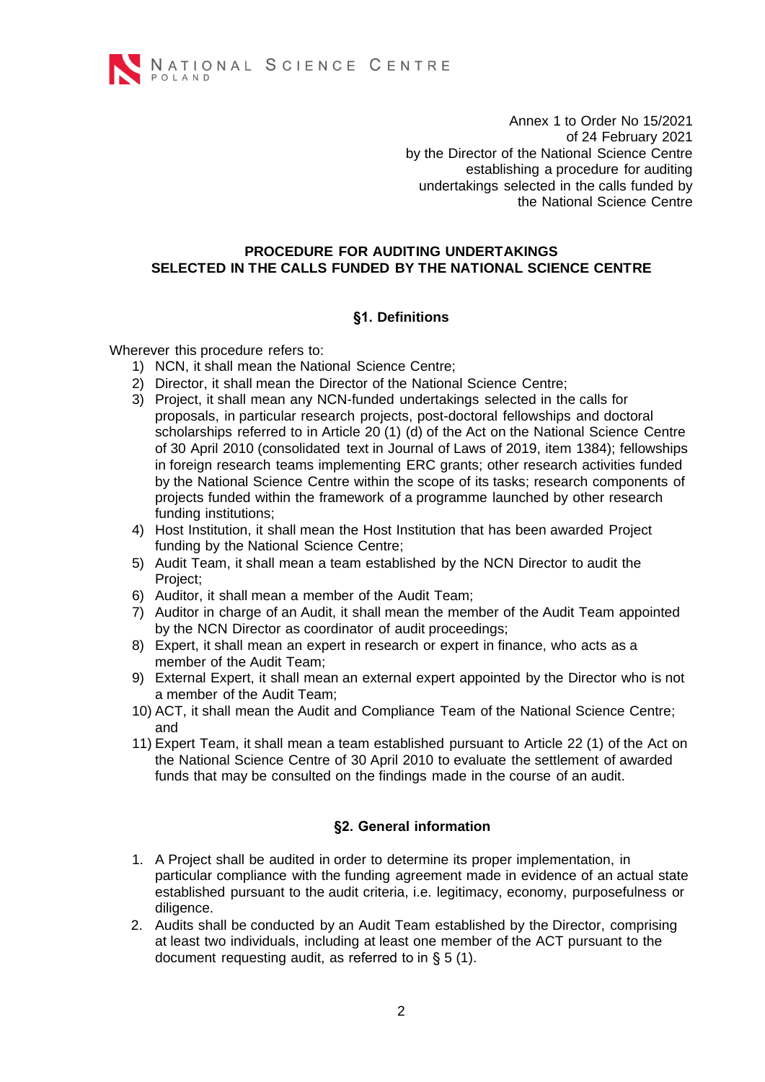

Annex 1 to Order No 15/2021 of 24 February 2021 by the Director of the National Science Centre establishing a procedure for auditing undertakings selected in the calls funded by the National Science Centre

# **PROCEDURE FOR AUDITING UNDERTAKINGS SELECTED IN THE CALLS FUNDED BY THE NATIONAL SCIENCE CENTRE**

# **§1. Definitions**

Wherever this procedure refers to:

- 1) NCN, it shall mean the National Science Centre;
- 2) Director, it shall mean the Director of the National Science Centre;
- 3) Project, it shall mean any NCN-funded undertakings selected in the calls for proposals, in particular research projects, post-doctoral fellowships and doctoral scholarships referred to in Article 20 (1) (d) of the Act on the National Science Centre of 30 April 2010 (consolidated text in Journal of Laws of 2019, item 1384); fellowships in foreign research teams implementing ERC grants; other research activities funded by the National Science Centre within the scope of its tasks; research components of projects funded within the framework of a programme launched by other research funding institutions;
- 4) Host Institution, it shall mean the Host Institution that has been awarded Project funding by the National Science Centre;
- 5) Audit Team, it shall mean a team established by the NCN Director to audit the Project;
- 6) Auditor, it shall mean a member of the Audit Team;
- 7) Auditor in charge of an Audit, it shall mean the member of the Audit Team appointed by the NCN Director as coordinator of audit proceedings;
- 8) Expert, it shall mean an expert in research or expert in finance, who acts as a member of the Audit Team;
- 9) External Expert, it shall mean an external expert appointed by the Director who is not a member of the Audit Team;
- 10) ACT, it shall mean the Audit and Compliance Team of the National Science Centre; and
- 11) Expert Team, it shall mean a team established pursuant to Article 22 (1) of the Act on the National Science Centre of 30 April 2010 to evaluate the settlement of awarded funds that may be consulted on the findings made in the course of an audit.

# **§2. General information**

- 1. A Project shall be audited in order to determine its proper implementation, in particular compliance with the funding agreement made in evidence of an actual state established pursuant to the audit criteria, i.e. legitimacy, economy, purposefulness or diligence.
- 2. Audits shall be conducted by an Audit Team established by the Director, comprising at least two individuals, including at least one member of the ACT pursuant to the document requesting audit, as referred to in § 5 (1).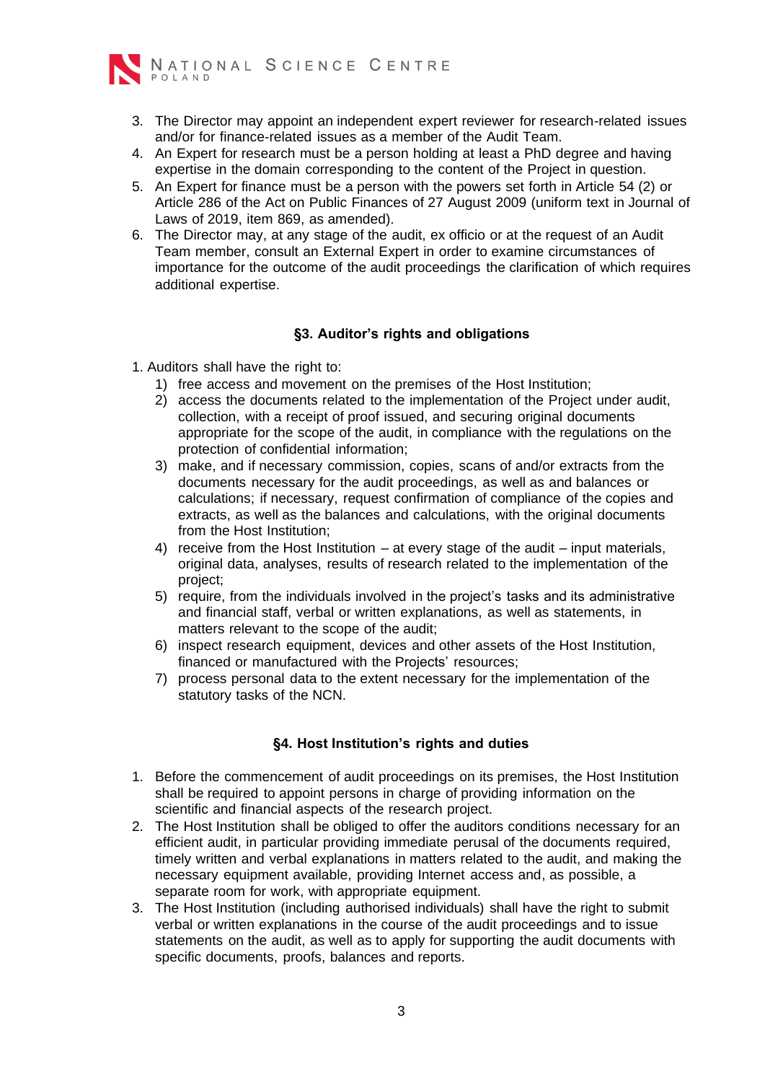

- 3. The Director may appoint an independent expert reviewer for research-related issues and/or for finance-related issues as a member of the Audit Team.
- 4. An Expert for research must be a person holding at least a PhD degree and having expertise in the domain corresponding to the content of the Project in question.
- 5. An Expert for finance must be a person with the powers set forth in Article 54 (2) or Article 286 of the Act on Public Finances of 27 August 2009 (uniform text in Journal of Laws of 2019, item 869, as amended).
- 6. The Director may, at any stage of the audit, ex officio or at the request of an Audit Team member, consult an External Expert in order to examine circumstances of importance for the outcome of the audit proceedings the clarification of which requires additional expertise.

# **§3. Auditor's rights and obligations**

- 1. Auditors shall have the right to:
	- 1) free access and movement on the premises of the Host Institution;
	- 2) access the documents related to the implementation of the Project under audit, collection, with a receipt of proof issued, and securing original documents appropriate for the scope of the audit, in compliance with the regulations on the protection of confidential information;
	- 3) make, and if necessary commission, copies, scans of and/or extracts from the documents necessary for the audit proceedings, as well as and balances or calculations; if necessary, request confirmation of compliance of the copies and extracts, as well as the balances and calculations, with the original documents from the Host Institution;
	- 4) receive from the Host Institution at every stage of the audit input materials, original data, analyses, results of research related to the implementation of the project;
	- 5) require, from the individuals involved in the project's tasks and its administrative and financial staff, verbal or written explanations, as well as statements, in matters relevant to the scope of the audit;
	- 6) inspect research equipment, devices and other assets of the Host Institution, financed or manufactured with the Projects' resources;
	- 7) process personal data to the extent necessary for the implementation of the statutory tasks of the NCN.

# **§4. Host Institution's rights and duties**

- 1. Before the commencement of audit proceedings on its premises, the Host Institution shall be required to appoint persons in charge of providing information on the scientific and financial aspects of the research project.
- 2. The Host Institution shall be obliged to offer the auditors conditions necessary for an efficient audit, in particular providing immediate perusal of the documents required, timely written and verbal explanations in matters related to the audit, and making the necessary equipment available, providing Internet access and, as possible, a separate room for work, with appropriate equipment.
- 3. The Host Institution (including authorised individuals) shall have the right to submit verbal or written explanations in the course of the audit proceedings and to issue statements on the audit, as well as to apply for supporting the audit documents with specific documents, proofs, balances and reports.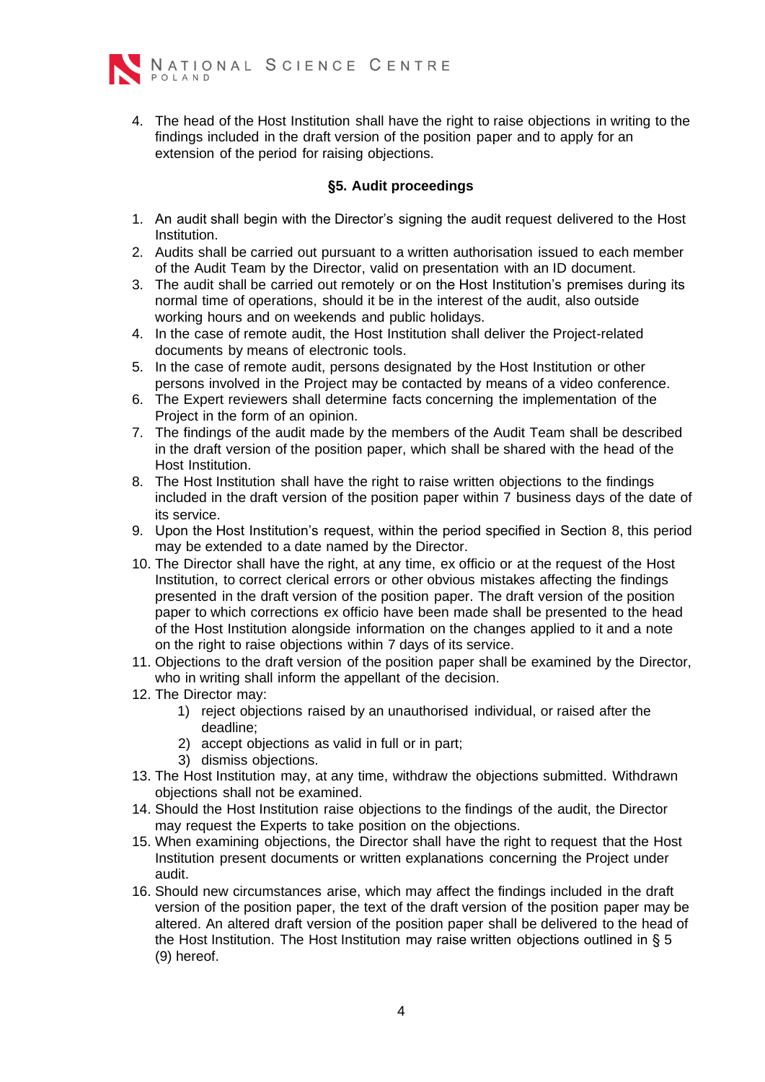

4. The head of the Host Institution shall have the right to raise objections in writing to the findings included in the draft version of the position paper and to apply for an extension of the period for raising objections.

#### **§5. Audit proceedings**

- 1. An audit shall begin with the Director's signing the audit request delivered to the Host Institution.
- 2. Audits shall be carried out pursuant to a written authorisation issued to each member of the Audit Team by the Director, valid on presentation with an ID document.
- 3. The audit shall be carried out remotely or on the Host Institution's premises during its normal time of operations, should it be in the interest of the audit, also outside working hours and on weekends and public holidays.
- 4. In the case of remote audit, the Host Institution shall deliver the Project-related documents by means of electronic tools.
- 5. In the case of remote audit, persons designated by the Host Institution or other persons involved in the Project may be contacted by means of a video conference.
- 6. The Expert reviewers shall determine facts concerning the implementation of the Project in the form of an opinion.
- 7. The findings of the audit made by the members of the Audit Team shall be described in the draft version of the position paper, which shall be shared with the head of the Host Institution.
- 8. The Host Institution shall have the right to raise written objections to the findings included in the draft version of the position paper within 7 business days of the date of its service.
- 9. Upon the Host Institution's request, within the period specified in Section 8, this period may be extended to a date named by the Director.
- 10. The Director shall have the right, at any time, ex officio or at the request of the Host Institution, to correct clerical errors or other obvious mistakes affecting the findings presented in the draft version of the position paper. The draft version of the position paper to which corrections ex officio have been made shall be presented to the head of the Host Institution alongside information on the changes applied to it and a note on the right to raise objections within 7 days of its service.
- 11. Objections to the draft version of the position paper shall be examined by the Director, who in writing shall inform the appellant of the decision.
- 12. The Director may:
	- 1) reject objections raised by an unauthorised individual, or raised after the deadline;
	- 2) accept objections as valid in full or in part;
	- 3) dismiss objections.
- 13. The Host Institution may, at any time, withdraw the objections submitted. Withdrawn objections shall not be examined.
- 14. Should the Host Institution raise objections to the findings of the audit, the Director may request the Experts to take position on the objections.
- 15. When examining objections, the Director shall have the right to request that the Host Institution present documents or written explanations concerning the Project under audit.
- 16. Should new circumstances arise, which may affect the findings included in the draft version of the position paper, the text of the draft version of the position paper may be altered. An altered draft version of the position paper shall be delivered to the head of the Host Institution. The Host Institution may raise written objections outlined in § 5 (9) hereof.